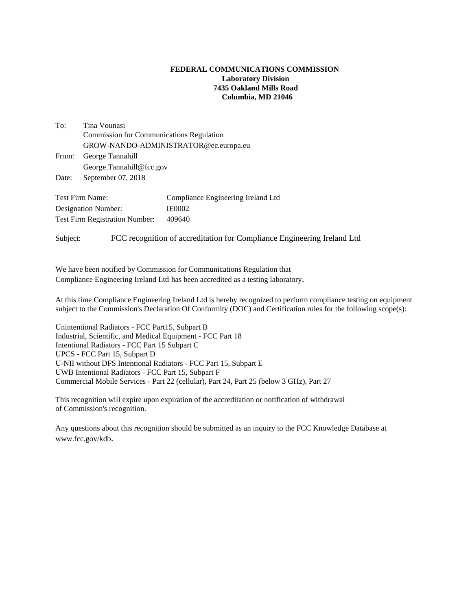## **FEDERAL COMMUNICATIONS COMMISSION Laboratory Division 7435 Oakland Mills Road Columbia, MD 21046**

To: Tina Vounasi Commission for Communications Regulation GROW-NANDO-ADMINISTRATOR@ec.europa.eu From: George Tannahill George.Tannahill@fcc.gov

Date: September 07, 2018

Test Firm Name: Compliance Engineering Ireland Ltd Designation Number: IE0002 Test Firm Registration Number: 409640

Subject: FCC recognition of accreditation for Compliance Engineering Ireland Ltd

We have been notified by Commission for Communications Regulation that Compliance Engineering Ireland Ltd has been accredited as a testing laboratory.

At this time Compliance Engineering Ireland Ltd is hereby recognized to perform compliance testing on equipment subject to the Commission's Declaration Of Conformity (DOC) and Certification rules for the following scope(s):

Unintentional Radiators - FCC Part15, Subpart B Industrial, Scientific, and Medical Equipment - FCC Part 18 Intentional Radiators - FCC Part 15 Subpart C UPCS - FCC Part 15, Subpart D U-NII without DFS Intentional Radiators - FCC Part 15, Subpart E UWB Intentional Radiators - FCC Part 15, Subpart F Commercial Mobile Services - Part 22 (cellular), Part 24, Part 25 (below 3 GHz), Part 27

This recognition will expire upon expiration of the accreditation or notification of withdrawal of Commission's recognition.

Any questions about this recognition should be submitted as an inquiry to the FCC Knowledge Database at www.fcc.gov/kdb.